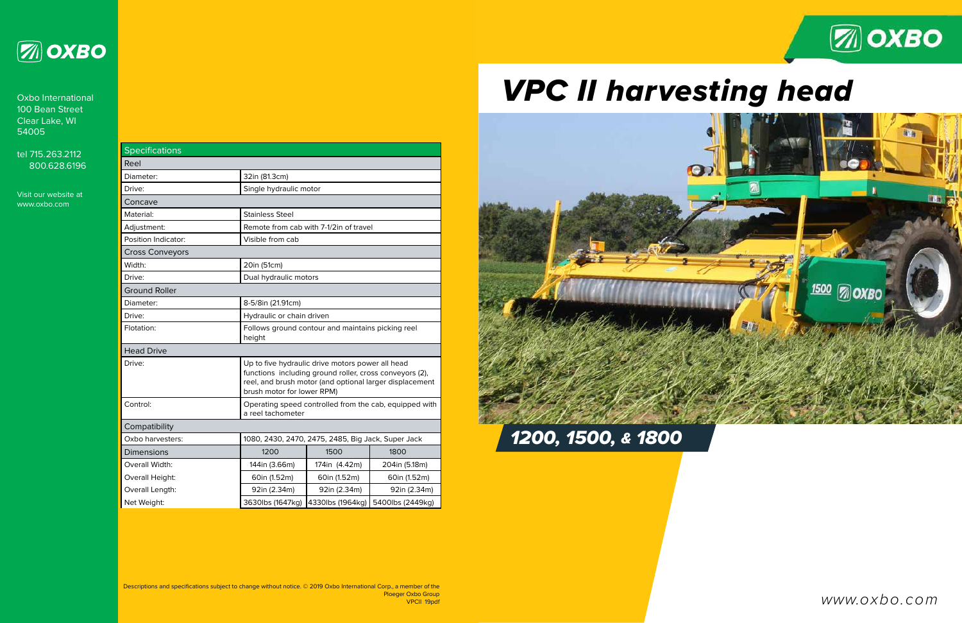| <b>Specifications</b>  |                                                                                                                                                                                                      |                  |                  |
|------------------------|------------------------------------------------------------------------------------------------------------------------------------------------------------------------------------------------------|------------------|------------------|
| Reel                   |                                                                                                                                                                                                      |                  |                  |
| Diameter:              | 32in (81.3cm)                                                                                                                                                                                        |                  |                  |
| Drive:                 | Single hydraulic motor                                                                                                                                                                               |                  |                  |
| Concave                |                                                                                                                                                                                                      |                  |                  |
| Material:              | <b>Stainless Steel</b>                                                                                                                                                                               |                  |                  |
| Adjustment:            | Remote from cab with 7-1/2in of travel                                                                                                                                                               |                  |                  |
| Position Indicator:    | Visible from cab                                                                                                                                                                                     |                  |                  |
| <b>Cross Conveyors</b> |                                                                                                                                                                                                      |                  |                  |
| Width:                 | 20in (51cm)                                                                                                                                                                                          |                  |                  |
| Drive:                 | Dual hydraulic motors                                                                                                                                                                                |                  |                  |
| <b>Ground Roller</b>   |                                                                                                                                                                                                      |                  |                  |
| Diameter:              | 8-5/8in (21.91cm)                                                                                                                                                                                    |                  |                  |
| Drive:                 | Hydraulic or chain driven                                                                                                                                                                            |                  |                  |
| Flotation:             | Follows ground contour and maintains picking reel<br>height                                                                                                                                          |                  |                  |
| <b>Head Drive</b>      |                                                                                                                                                                                                      |                  |                  |
| Drive:                 | Up to five hydraulic drive motors power all head<br>functions including ground roller, cross conveyors (2),<br>reel, and brush motor (and optional larger displacement<br>brush motor for lower RPM) |                  |                  |
| Control:               | Operating speed controlled from the cab, equipped with<br>a reel tachometer                                                                                                                          |                  |                  |
| Compatibility          |                                                                                                                                                                                                      |                  |                  |
| Oxbo harvesters:       | 1080, 2430, 2470, 2475, 2485, Big Jack, Super Jack                                                                                                                                                   |                  |                  |
| <b>Dimensions</b>      | 1200                                                                                                                                                                                                 | 1500             | 1800             |
| Overall Width:         | 144in (3.66m)                                                                                                                                                                                        | 174in (4.42m)    | 204in (5.18m)    |
| Overall Height:        | 60in (1.52m)                                                                                                                                                                                         | 60in (1.52m)     | 60in (1.52m)     |
| Overall Length:        | 92in (2.34m)                                                                                                                                                                                         | 92in (2.34m)     | 92in (2.34m)     |
| Net Weight:            | 3630lbs (1647kg)                                                                                                                                                                                     | 4330lbs (1964kg) | 5400lbs (2449kg) |



# *VPC II harvesting head*



www.oxbo.com

*1200, 1500, & 1800*



Oxbo International 100 Bean Street Clear Lake, WI 54005

tel 715.263.2112 800.628.6196

Visit our website at www.oxbo.com